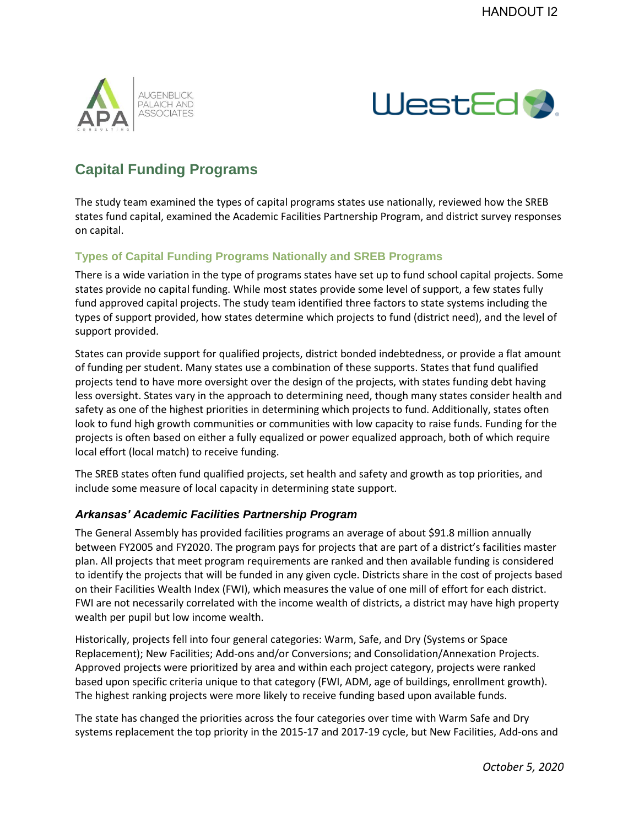



## **Capital Funding Programs**

The study team examined the types of capital programs states use nationally, reviewed how the SREB states fund capital, examined the Academic Facilities Partnership Program, and district survey responses on capital.

## **Types of Capital Funding Programs Nationally and SREB Programs**

There is a wide variation in the type of programs states have set up to fund school capital projects. Some states provide no capital funding. While most states provide some level of support, a few states fully fund approved capital projects. The study team identified three factors to state systems including the types of support provided, how states determine which projects to fund (district need), and the level of support provided.

States can provide support for qualified projects, district bonded indebtedness, or provide a flat amount of funding per student. Many states use a combination of these supports. States that fund qualified projects tend to have more oversight over the design of the projects, with states funding debt having less oversight. States vary in the approach to determining need, though many states consider health and safety as one of the highest priorities in determining which projects to fund. Additionally, states often look to fund high growth communities or communities with low capacity to raise funds. Funding for the projects is often based on either a fully equalized or power equalized approach, both of which require local effort (local match) to receive funding.

The SREB states often fund qualified projects, set health and safety and growth as top priorities, and include some measure of local capacity in determining state support.

## *Arkansas' Academic Facilities Partnership Program*

The General Assembly has provided facilities programs an average of about \$91.8 million annually between FY2005 and FY2020. The program pays for projects that are part of a district's facilities master plan. All projects that meet program requirements are ranked and then available funding is considered to identify the projects that will be funded in any given cycle. Districts share in the cost of projects based on their Facilities Wealth Index (FWI), which measures the value of one mill of effort for each district. FWI are not necessarily correlated with the income wealth of districts, a district may have high property wealth per pupil but low income wealth.

Historically, projects fell into four general categories: Warm, Safe, and Dry (Systems or Space Replacement); New Facilities; Add-ons and/or Conversions; and Consolidation/Annexation Projects. Approved projects were prioritized by area and within each project category, projects were ranked based upon specific criteria unique to that category (FWI, ADM, age of buildings, enrollment growth). The highest ranking projects were more likely to receive funding based upon available funds.

The state has changed the priorities across the four categories over time with Warm Safe and Dry systems replacement the top priority in the 2015-17 and 2017-19 cycle, but New Facilities, Add-ons and